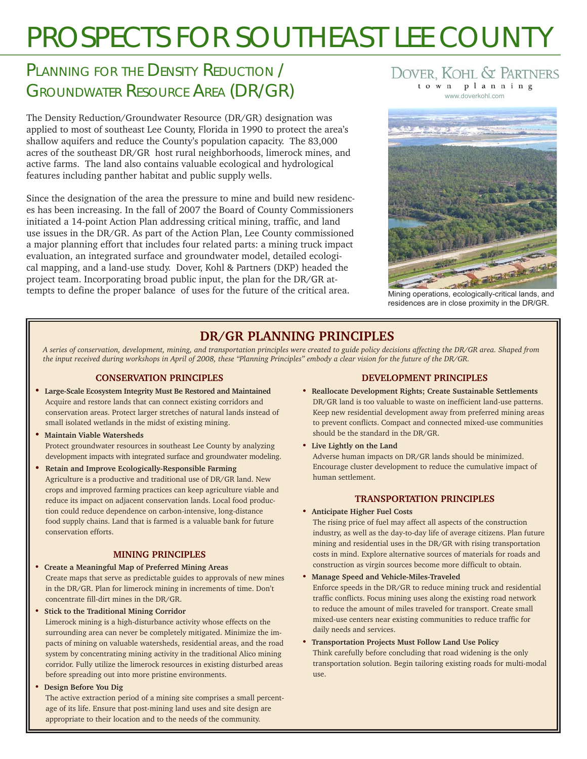# PROSPECTS FOR SOUTHEAST LEE COUNTY

### PLANNING FOR THE DENSITY REDUCTION / GROUNDWATER RESOURCE AREA (DR/GR)

The Density Reduction/Groundwater Resource (DR/GR) designation was applied to most of southeast Lee County, Florida in 1990 to protect the area's shallow aquifers and reduce the County's population capacity. The 83,000 acres of the southeast DR/GR host rural neighborhoods, limerock mines, and active farms. The land also contains valuable ecological and hydrological features including panther habitat and public supply wells.

Since the designation of the area the pressure to mine and build new residences has been increasing. In the fall of 2007 the Board of County Commissioners initiated a 14-point Action Plan addressing critical mining, traffic, and land use issues in the DR/GR. As part of the Action Plan, Lee County commissioned a major planning effort that includes four related parts: a mining truck impact evaluation, an integrated surface and groundwater model, detailed ecological mapping, and a land-use study. Dover, Kohl & Partners (DKP) headed the project team. Incorporating broad public input, the plan for the DR/GR attempts to define the proper balance of uses for the future of the critical area.

#### DOVER, KOHL & PARTNERS town planning www.doverkohl.com



Mining operations, ecologically-critical lands, and residences are in close proximity in the DR/GR.

#### **DR/GR PLANNING PRINCIPLES**

*A series of conservation, development, mining, and transportation principles were created to guide policy decisions affecting the DR/GR area. Shaped from the input received during workshops in April of 2008, these "Planning Principles" embody a clear vision for the future of the DR/GR.*

#### **CONSERVATION PRINCIPLES**

- **Large-Scale Ecosystem Integrity Must Be Restored and Maintained** Acquire and restore lands that can connect existing corridors and conservation areas. Protect larger stretches of natural lands instead of small isolated wetlands in the midst of existing mining.
- • **Maintain Viable Watersheds** Protect groundwater resources in southeast Lee County by analyzing development impacts with integrated surface and groundwater modeling.
- **Retain and Improve Ecologically-Responsible Farming**  Agriculture is a productive and traditional use of DR/GR land. New crops and improved farming practices can keep agriculture viable and reduce its impact on adjacent conservation lands. Local food production could reduce dependence on carbon-intensive, long-distance food supply chains. Land that is farmed is a valuable bank for future conservation efforts.

#### **MINING PRINCIPLES**

- **Create a Meaningful Map of Preferred Mining Areas** Create maps that serve as predictable guides to approvals of new mines in the DR/GR. Plan for limerock mining in increments of time. Don't concentrate fill-dirt mines in the DR/GR.
- **Stick to the Traditional Mining Corridor**
	- Limerock mining is a high-disturbance activity whose effects on the surrounding area can never be completely mitigated. Minimize the impacts of mining on valuable watersheds, residential areas, and the road system by concentrating mining activity in the traditional Alico mining corridor. Fully utilize the limerock resources in existing disturbed areas before spreading out into more pristine environments.
- **Design Before You Dig**

The active extraction period of a mining site comprises a small percentage of its life. Ensure that post-mining land uses and site design are appropriate to their location and to the needs of the community.

#### **DEVELOPMENT PRINCIPLES**

- **Reallocate Development Rights; Create Sustainable Settlements** DR/GR land is too valuable to waste on inefficient land-use patterns. Keep new residential development away from preferred mining areas to prevent conflicts. Compact and connected mixed-use communities should be the standard in the DR/GR.
- **Live Lightly on the Land**

Adverse human impacts on DR/GR lands should be minimized. Encourage cluster development to reduce the cumulative impact of human settlement.

#### **TRANSPORTATION PRINCIPLES**

• **Anticipate Higher Fuel Costs** 

The rising price of fuel may affect all aspects of the construction industry, as well as the day-to-day life of average citizens. Plan future mining and residential uses in the DR/GR with rising transportation costs in mind. Explore alternative sources of materials for roads and construction as virgin sources become more difficult to obtain.

- **Manage Speed and Vehicle-Miles-Traveled** Enforce speeds in the DR/GR to reduce mining truck and residential traffic conflicts. Focus mining uses along the existing road network to reduce the amount of miles traveled for transport. Create small mixed-use centers near existing communities to reduce traffic for daily needs and services.
- **Transportation Projects Must Follow Land Use Policy** Think carefully before concluding that road widening is the only transportation solution. Begin tailoring existing roads for multi-modal  $11S<sub>P</sub>$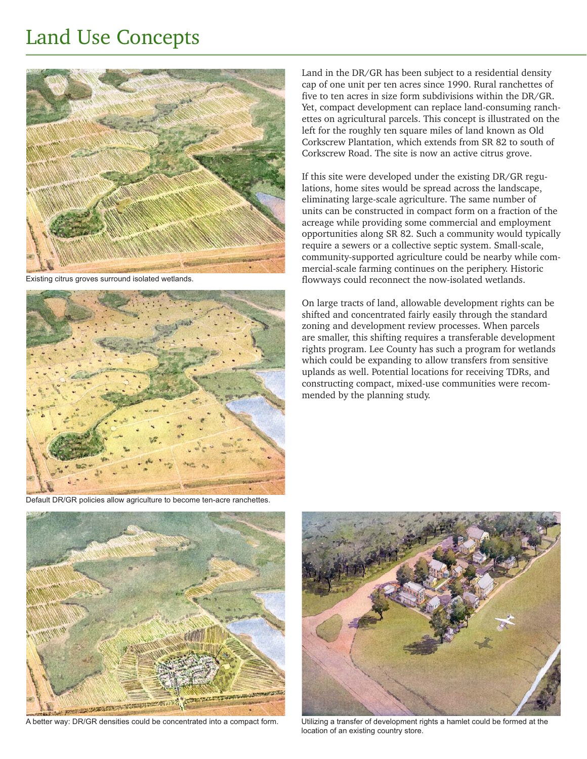### Land Use Concepts



Existing citrus groves surround isolated wetlands.



Default DR/GR policies allow agriculture to become ten-acre ranchettes.

Land in the DR/GR has been subject to a residential density cap of one unit per ten acres since 1990. Rural ranchettes of five to ten acres in size form subdivisions within the DR/GR. Yet, compact development can replace land-consuming ranchettes on agricultural parcels. This concept is illustrated on the left for the roughly ten square miles of land known as Old Corkscrew Plantation, which extends from SR 82 to south of Corkscrew Road. The site is now an active citrus grove.

If this site were developed under the existing DR/GR regulations, home sites would be spread across the landscape, eliminating large-scale agriculture. The same number of units can be constructed in compact form on a fraction of the acreage while providing some commercial and employment opportunities along SR 82. Such a community would typically require a sewers or a collective septic system. Small-scale, community-supported agriculture could be nearby while commercial-scale farming continues on the periphery. Historic flowways could reconnect the now-isolated wetlands.

On large tracts of land, allowable development rights can be shifted and concentrated fairly easily through the standard zoning and development review processes. When parcels are smaller, this shifting requires a transferable development rights program. Lee County has such a program for wetlands which could be expanding to allow transfers from sensitive uplands as well. Potential locations for receiving TDRs, and constructing compact, mixed-use communities were recommended by the planning study.



A better way: DR/GR densities could be concentrated into a compact form. Utilizing a transfer of development rights a hamlet could be formed at the



location of an existing country store.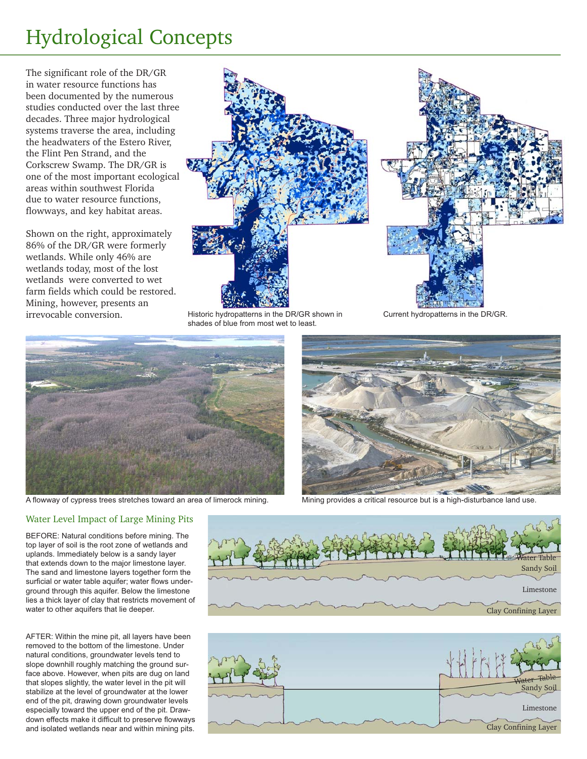## Hydrological Concepts

The significant role of the DR/GR in water resource functions has been documented by the numerous studies conducted over the last three decades. Three major hydrological systems traverse the area, including the headwaters of the Estero River, the Flint Pen Strand, and the Corkscrew Swamp. The DR/GR is one of the most important ecological areas within southwest Florida due to water resource functions, flowways, and key habitat areas.

Shown on the right, approximately 86% of the DR/GR were formerly wetlands. While only 46% are wetlands today, most of the lost wetlands were converted to wet farm fields which could be restored. Mining, however, presents an irrevocable conversion.



Historic hydropatterns in the DR/GR shown in shades of blue from most wet to least.



Current hydropatterns in the DR/GR.





A flowway of cypress trees stretches toward an area of limerock mining. Mining provides a critical resource but is a high-disturbance land use.

#### Water Level Impact of Large Mining Pits

BEFORE: Natural conditions before mining. The top layer of soil is the root zone of wetlands and uplands. Immediately below is a sandy layer that extends down to the major limestone layer. The sand and limestone layers together form the surficial or water table aquifer; water flows underground through this aquifer. Below the limestone lies a thick layer of clay that restricts movement of water to other aquifers that lie deeper.

AFTER: Within the mine pit, all layers have been removed to the bottom of the limestone. Under natural conditions, groundwater levels tend to slope downhill roughly matching the ground surface above. However, when pits are dug on land that slopes slightly, the water level in the pit will stabilize at the level of groundwater at the lower end of the pit, drawing down groundwater levels especially toward the upper end of the pit. Drawdown effects make it difficult to preserve flowways and isolated wetlands near and within mining pits.